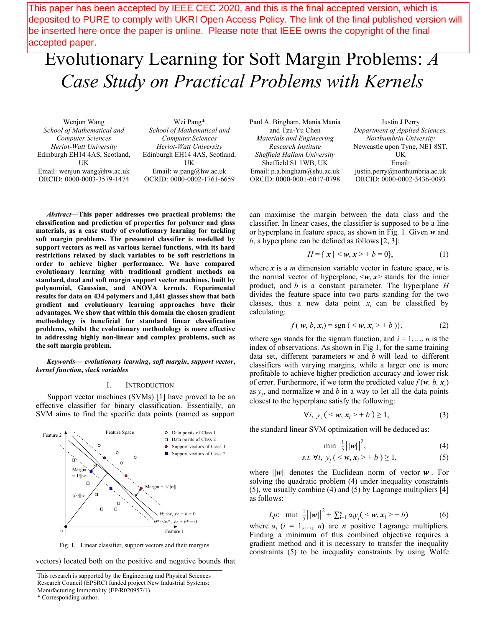This paper has been accepted by IEEE CEC 2020, and this is the final accepted version, which is deposited to PURE to comply with UKRI Open Access Policy. The link of the final published version will be inserted here once the paper is online. Please note that IEEE owns the copyright of the final accepted paper.

# Evolutionary Learning for Soft Margin Problems: A Case Study on Practical Problems with Kernels

Wenjun Wang School of Mathematical and Computer Sciences Heriot-Watt University Edinburgh EH14 4AS, Scotland, UK Email: wenjun.wang@hw.ac.uk ORCID: 0000-0003-3579-1474

Wei Pang\* School of Mathematical and Computer Sciences Heriot-Watt University Edinburgh EH14 4AS, Scotland, UK Email: w.pang@hw.ac.uk OCRID: 0000-0002-1761-6659 Paul A. Bingham, Mania Mania and Tzu-Yu Chen Materials and Engineering Research Institute Sheffield Hallam University Sheffield S1 1WB, UK Email: p.a.bingham@shu.ac.uk ORCID: 0000-0001-6017-0798

Justin J Perry Department of Applied Sciences, Northumbria University Newcastle upon Tyne, NE1 8ST, UK Email: justin.perry@northumbria.ac.uk ORCID: 0000-0002-3436-0093

Abstract—This paper addresses two practical problems: the classification and prediction of properties for polymer and glass materials, as a case study of evolutionary learning for tackling soft margin problems. The presented classifier is modelled by support vectors as well as various kernel functions, with its hard restrictions relaxed by slack variables to be soft restrictions in order to achieve higher performance. We have compared evolutionary learning with traditional gradient methods on standard, dual and soft margin support vector machines, built by polynomial, Gaussian, and ANOVA kernels. Experimental results for data on 434 polymers and 1,441 glasses show that both gradient and evolutionary learning approaches have their advantages. We show that within this domain the chosen gradient methodology is beneficial for standard linear classification problems, whilst the evolutionary methodology is more effective in addressing highly non-linear and complex problems, such as the soft margin problem.

Keywords— evolutionary learning, soft margin, support vector, kernel function, slack variables

### I. INTRODUCTION

Support vector machines (SVMs) [1] have proved to be an effective classifier for binary classification. Essentially, an SVM aims to find the specific data points (named as support



Fig. 1. Linear classifier, support vectors and their margins

vectors) located both on the positive and negative bounds that

\* Corresponding author.

can maximise the margin between the data class and the classifier. In linear cases, the classifier is supposed to be a line or hyperplane in feature space, as shown in Fig. 1. Given  $w$  and b, a hyperplane can be defined as follows [2, 3]:

$$
H = \{ x \mid \leq w, x > + b = 0 \},\tag{1}
$$

where  $x$  is a *m* dimension variable vector in feature space,  $w$  is the normal vector of hyperplane,  $\langle w, x \rangle$  stands for the inner product, and  $b$  is a constant parameter. The hyperplane  $H$ divides the feature space into two parts standing for the two classes, thus a new data point  $x_i$  can be classified by calculating:

$$
f(\boldsymbol{w}, b, \boldsymbol{x}_i) = \text{sgn}(\langle \boldsymbol{w}, \boldsymbol{x}_i \rangle + b), \qquad (2)
$$

where sgn stands for the signum function, and  $i = 1, \ldots, n$  is the index of observations. As shown in Fig 1, for the same training data set, different parameters  $w$  and  $b$  will lead to different classifiers with varying margins, while a larger one is more profitable to achieve higher prediction accuracy and lower risk of error. Furthermore, if we term the predicted value  $f(w, b, x_i)$ as  $y_i$ , and normalize w and b in a way to let all the data points closest to the hyperplane satisfy the following:

$$
\forall i, y_i \left( \langle w, x_i \rangle + b \right) \ge 1,\tag{3}
$$

Data points of Class 1 the standard linear SVM optimization will be deduced as:

$$
\min \frac{1}{2} \left| \left| w \right| \right|^2, \tag{4}
$$

s.t. 
$$
\forall i, y_i (\leq w, x_i > +b ) \geq 1,
$$
 (5)

where  $||w||$  denotes the Euclidean norm of vector **w**. For solving the quadratic problem (4) under inequality constraints (5), we usually combine (4) and (5) by Lagrange multipliers [4] as follows:

*Lp*: min 
$$
\frac{1}{2} ||w||^2 + \sum_{i=1}^n a_i y_i \, (<\omega, x_i > + b)
$$
 (6)

Feature 1 Finding a minimum of this combined objective requires a  $H^*:\leq_{\mathcal{V}}^*, \leq_{\mathcal{V}}^*, \leq_{\mathcal{V}}^*, \leq_{\mathcal{V}}^*, \leq_{\mathcal{V}}^*, \leq_{\mathcal{V}}^*, \leq_{\mathcal{V}}^*, \leq_{\mathcal{V}}^*, \leq_{\mathcal{V}}^*, \leq_{\mathcal{V}}^*, \leq_{\mathcal{V}}^*, \leq_{\mathcal{V}}^*, \leq_{\mathcal{V}}^*, \leq_{\mathcal{V}}^*, \leq_{\mathcal{V}}^*, \leq_{\mathcal{V}}^*, \leq_{\mathcal{V}}^*, \leq_{\mathcal{V}}^*, \$ gradient method and it is necessary to transfer the inequality constraints (5) to be inequality constraints by using Wolfe

This research is supported by the Engineering and Physical Sciences Research Council (EPSRC) funded project New Industrial Systems: Manufacturing Immortality (EP/R020957/1).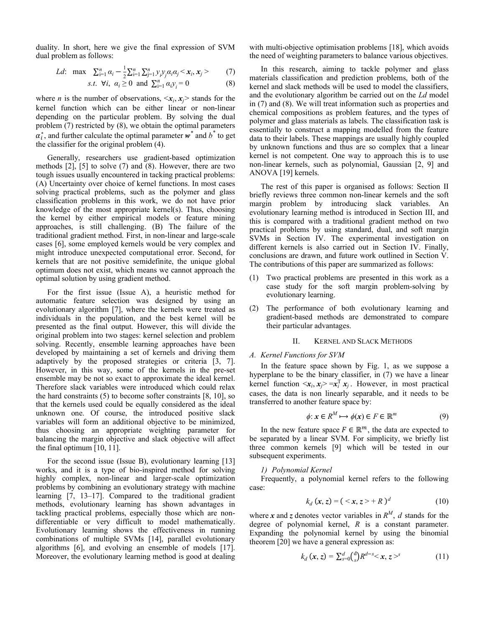duality. In short, here we give the final expression of SVM dual problem as follows:

*Ld*: max 
$$
\sum_{i=1}^{n} \alpha_i - \frac{1}{2} \sum_{i=1}^{n} \sum_{j=1}^{n} y_j y_j \alpha_i \alpha_j < x_i, x_j >
$$
 (7)

s.t. 
$$
\forall i, \ \alpha_i \ge 0 \text{ and } \sum_{i=1}^n \alpha_i y_i = 0
$$
 (8)

where *n* is the number of observations,  $\langle x_i, x_j \rangle$  stands for the kernel function which can be either linear or non-linear depending on the particular problem. By solving the dual problem (7) restricted by (8), we obtain the optimal parameters  $\alpha_i^*$ , and further calculate the optimal parameter  $\boldsymbol{w}^*$  and  $\boldsymbol{b}^*$  to get the classifier for the original problem (4).

Generally, researchers use gradient-based optimization methods [2], [5] to solve (7) and (8). However, there are two tough issues usually encountered in tacking practical problems: (A) Uncertainty over choice of kernel functions. In most cases solving practical problems, such as the polymer and glass classification problems in this work, we do not have prior knowledge of the most appropriate kernel(s). Thus, choosing the kernel by either empirical models or feature mining approaches, is still challenging. (B) The failure of the traditional gradient method. First, in non-linear and large-scale cases [6], some employed kernels would be very complex and might introduce unexpected computational error. Second, for kernels that are not positive semidefinite, the unique global optimum does not exist, which means we cannot approach the optimal solution by using gradient method.

For the first issue (Issue A), a heuristic method for automatic feature selection was designed by using an evolutionary algorithm [7], where the kernels were treated as individuals in the population, and the best kernel will be presented as the final output. However, this will divide the original problem into two stages: kernel selection and problem solving. Recently, ensemble learning approaches have been developed by maintaining a set of kernels and driving them adaptively by the proposed strategies or criteria [3, 7]. However, in this way, some of the kernels in the pre-set ensemble may be not so exact to approximate the ideal kernel. Therefore slack variables were introduced which could relax the hard constraints  $(5)$  to become softer constraints  $[8, 10]$ , so that the kernels used could be equally considered as the ideal unknown one. Of course, the introduced positive slack variables will form an additional objective to be minimized, thus choosing an appropriate weighting parameter for balancing the margin objective and slack objective will affect the final optimum [10, 11].

For the second issue (Issue B), evolutionary learning [13] works, and it is a type of bio-inspired method for solving highly complex, non-linear and larger-scale optimization problems by combining an evolutionary strategy with machine learning [7, 13–17]. Compared to the traditional gradient methods, evolutionary learning has shown advantages in tackling practical problems, especially those which are nondifferentiable or very difficult to model mathematically. Evolutionary learning shows the effectiveness in running combinations of multiple SVMs [14], parallel evolutionary algorithms [6], and evolving an ensemble of models [17]. Moreover, the evolutionary learning method is good at dealing with multi-objective optimisation problems [18], which avoids the need of weighting parameters to balance various objectives.

In this research, aiming to tackle polymer and glass materials classification and prediction problems, both of the kernel and slack methods will be used to model the classifiers, and the evolutionary algorithm be carried out on the Ld model in (7) and (8). We will treat information such as properties and chemical compositions as problem features, and the types of polymer and glass materials as labels. The classification task is essentially to construct a mapping modelled from the feature data to their labels. These mappings are usually highly coupled by unknown functions and thus are so complex that a linear kernel is not competent. One way to approach this is to use non-linear kernels, such as polynomial, Gaussian [2, 9] and ANOVA [19] kernels.

The rest of this paper is organised as follows: Section II briefly reviews three common non-linear kernels and the soft margin problem by introducing slack variables. An evolutionary learning method is introduced in Section III, and this is compared with a traditional gradient method on two practical problems by using standard, dual, and soft margin SVMs in Section IV. The experimental investigation on different kernels is also carried out in Section IV. Finally, conclusions are drawn, and future work outlined in Section V. The contributions of this paper are summarized as follows:

- (1) Two practical problems are presented in this work as a case study for the soft margin problem-solving by evolutionary learning.
- (2) The performance of both evolutionary learning and gradient-based methods are demonstrated to compare their particular advantages.

## II. KERNEL AND SLACK METHODS

#### A. Kernel Functions for SVM

In the feature space shown by Fig. 1, as we suppose a hyperplane to be the binary classifier, in (7) we have a linear kernel function  $\langle x_i, x_j \rangle = x_i^T x_j$ . However, in most practical cases, the data is non linearly separable, and it needs to be transferred to another feature space by:

$$
\phi: x \in R^M \mapsto \phi(x) \in F \in \mathbb{R}^m \tag{9}
$$

In the new feature space  $F \in \mathbb{R}^m$ , the data are expected to be separated by a linear SVM. For simplicity, we briefly list three common kernels [9] which will be tested in our subsequent experiments.

# 1) Polynomial Kernel

Frequently, a polynomial kernel refers to the following case:

$$
k_d(x, z) = (\langle x, z \rangle + R)^d \tag{10}
$$

where x and z denotes vector variables in  $R^M$ , d stands for the degree of polynomial kernel,  $R$  is a constant parameter. Expanding the polynomial kernel by using the binomial theorem [20] we have a general expression as:

$$
k_d(x, z) = \sum_{s=0}^d {d \choose s} R^{d-s} < x, z >^s
$$
 (11)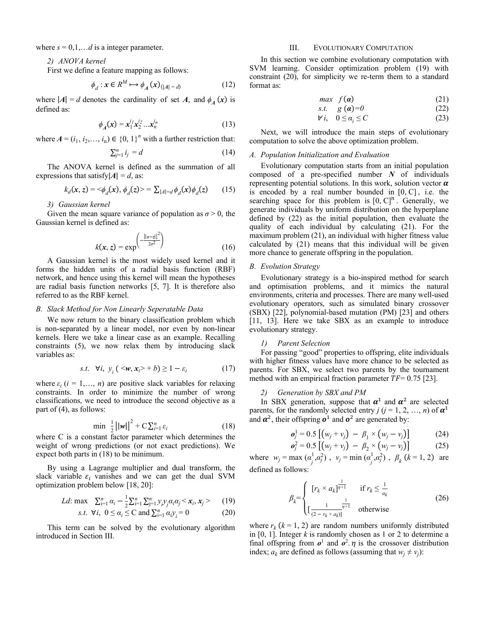where  $s = 0,1,...d$  is a integer parameter.

2) ANOVA kernel

First we define a feature mapping as follows:

$$
\phi_d: x \in R^M \mapsto \phi_A(x)_{(|A| = d)} \tag{12}
$$

where  $|A| = d$  denotes the cardinality of set A, and  $\phi_A(x)$  is defined as:

$$
\phi_A(x) = x_1^{i_1} x_2^{i_2} \dots x_n^{i_n} \tag{13}
$$

where  $A = (i_1, i_2, \dots, i_n) \in \{0, 1\}^n$  with a further restriction that:

$$
\sum_{j=1}^{n} i_j = d \tag{14}
$$

The ANOVA kernel is defined as the summation of all expressions that satisfy $|A| = d$ , as:

$$
k_d(x, z) = \langle \phi_d(x), \phi_d(z) \rangle = \sum_{|A| = d} \phi_d(x) \phi_d(z) \tag{15}
$$

## 3) Gaussian kernel

Given the mean square variance of population as  $\sigma > 0$ , the Gaussian kernel is defined as:

$$
k(x, z) = \exp\left(\frac{\left|\left|x-z\right|\right|^2}{2\sigma^2}\right) \tag{16}
$$

A Gaussian kernel is the most widely used kernel and it forms the hidden units of a radial basis function (RBF) network, and hence using this kernel will mean the hypotheses are radial basis function networks [5, 7]. It is therefore also referred to as the RBF kernel.

## B. Slack Method for Non Linearly Seperatable Data

We now return to the binary classification problem which is non-separated by a linear model, nor even by non-linear kernels. Here we take a linear case as an example. Recalling constraints (5), we now relax them by introducing slack variables as:

$$
s.t. \forall i, y_i (\langle \mathbf{w}, \mathbf{x}_i \rangle + b) \ge 1 - \varepsilon_i \tag{17}
$$

where  $\varepsilon_i$  ( $i = 1,..., n$ ) are positive slack variables for relaxing constraints. In order to minimize the number of wrong classifications, we need to introduce the second objective as a part of (4), as follows:

$$
\min \frac{1}{2} ||w||^2 + C \sum_{i=1}^n \varepsilon_i
$$
 (18)

where C is a constant factor parameter which determines the weight of wrong predictions (or not exact predictions). We expect both parts in (18) to be minimum.

By using a Lagrange multiplier and dual transform, the slack variable  $\varepsilon_i$  vanishes and we can get the dual SVM optimization problem below [18, 20]:

*Ld*: max 
$$
\sum_{i=1}^{n} \alpha_i - \frac{1}{2} \sum_{i=1}^{n} \sum_{j=1}^{n} y_j y_j \alpha_i \alpha_j < x_i, x_j >
$$
 (19)

s.t. 
$$
\forall i, 0 \le a_i \le C
$$
 and  $\sum_{i=1}^n a_i y_i = 0$  (20)

This term can be solved by the evolutionary algorithm introduced in Section III.

## III. EVOLUTIONARY COMPUTATION

In this section we combine evolutionary computation with SVM learning. Consider optimization problem (19) with constraint (20), for simplicity we re-term them to a standard format as:

$$
max \ f(\boldsymbol{a}) \tag{21}
$$

$$
s.t. \quad g(\boldsymbol{a})=0 \tag{22}
$$

$$
\forall i, \quad 0 \le a_i \le C \tag{23}
$$

Next, we will introduce the main steps of evolutionary computation to solve the above optimization problem.

### A. Population Initialization and Evaluation

Evolutionary computation starts from an initial population composed of a pre-specified number  $N$  of individuals representing potential solutions. In this work, solution vector  $\alpha$ is encoded by a real number bounded in  $[0, C]$ , i.e. the searching space for this problem is  $[0, C]^n$ . Generally, we generate individuals by uniform distribution on the hyperplane defined by (22) as the initial population, then evaluate the quality of each individual by calculating (21). For the maximum problem (21), an individual with higher fitness value calculated by (21) means that this individual will be given more chance to generate offspring in the population.

#### B. Evolution Strategy

Evolutionary strategy is a bio-inspired method for search and optimisation problems, and it mimics the natural environments, criteria and processes. There are many well-used evolutionary operators, such as simulated binary crossover (SBX) [22], polynomial-based mutation (PM) [23] and others [11, 13]. Here we take SBX as an example to introduce evolutionary strategy.

# 1) Parent Selection

For passing "good" properties to offspring, elite individuals with higher fitness values have more chance to be selected as parents. For SBX, we select two parents by the tournament method with an empirical fraction parameter  $TF = 0.75$  [23].

# 2) Generation by SBX and PM

In SBX generation, suppose that  $\alpha^1$  and  $\alpha^2$  are selected parents, for the randomly selected entry  $j$  ( $j = 1, 2, ..., n$ ) of  $\boldsymbol{\alpha}^1$ and  $\alpha^2$ , their offspring  $\alpha^1$  and  $\alpha^2$  are generated by:

$$
o_j^1 = 0.5 [(w_j + v_j) - \beta_1 \times (w_j - v_j)] \tag{24}
$$

$$
\boldsymbol{o}_j^2 = 0.5 \left[ \left( w_j + v_j \right) - \beta_2 \times \left( w_j - v_j \right) \right] \tag{25}
$$

where  $w_j = \max(\alpha_j^1)$  $v_j^1, \alpha_j^2$ ,  $v_j = \min_{j} (\alpha_j^1)$  $\int_{i}^{1} \alpha_{j}^{2}$ ,  $\beta_{k}$  (k = 1, 2) are defined as follows:

$$
\beta_k = \begin{cases}\n[r_k \times a_k]^{\frac{1}{\eta+1}} & \text{if } r_k \le \frac{1}{a_k} \\
\left[\frac{1}{(2 - r_k \times a_k)}\right] & \text{otherwise}\n\end{cases}
$$
\n(26)

where  $r_k$  ( $k = 1, 2$ ) are random numbers uniformly distributed in  $[0, 1]$ . Integer k is randomly chosen as 1 or 2 to determine a final offspring from  $\mathbf{0}^1$  and  $\mathbf{0}^2$ .  $\eta$  is the crossover distribution index;  $a_k$  are defined as follows (assuming that  $w_j \neq v_j$ ):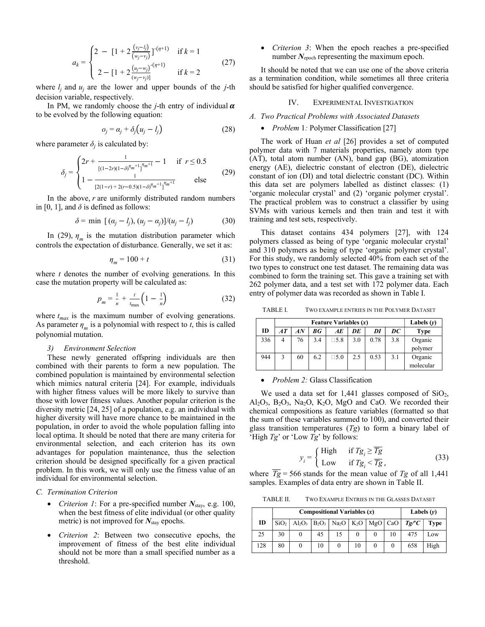$$
a_k = \begin{cases} 2 - \left[1 + 2\frac{(v_j - l_j)}{(w_j - v_j)}\right]^{-(\eta + 1)} & \text{if } k = 1\\ 2 - \left[1 + 2\frac{(u_j - w_j)}{(w_j - v_j)}\right]^{-(\eta + 1)} & \text{if } k = 2 \end{cases} \tag{27}
$$

where  $l_j$  and  $u_j$  are the lower and upper bounds of the *j*-th decision variable, respectively.

In PM, we randomly choose the *j*-th entry of individual  $\alpha$ to be evolved by the following equation:

$$
o_j = a_j + \delta_j \big( u_j - l_j \big) \tag{28}
$$

where parameter  $\delta_j$  is calculated by:

$$
\delta_j = \begin{cases} 2r + \frac{1}{[(1-2r)(1-\delta)^{\eta_m+1}]^{\eta_m+1}} - 1 & \text{if } r \le 0.5\\ 1 - \frac{1}{[2(1-r) + 2(r-0.5)(1-\delta)^{\eta_m+1}]^{\eta_m+1}} & \text{else} \end{cases}
$$
(29)

In the above, r are uniformly distributed random numbers in [0, 1], and  $\delta$  is defined as follows:

$$
\delta = \min \left[ (a_j - l_j), (u_j - a_j) \right] / (u_j - l_j) \tag{30}
$$

In (29),  $\eta_m$  is the mutation distribution parameter which controls the expectation of disturbance. Generally, we set it as:

$$
\eta_m = 100 + t \tag{31}
$$

where  $t$  denotes the number of evolving generations. In this case the mutation property will be calculated as:

$$
p_m = \frac{1}{n} + \frac{t}{t_{\text{max}}} \left( 1 - \frac{1}{n} \right) \tag{32}
$$

where  $t_{max}$  is the maximum number of evolving generations. As parameter  $\eta_m$  is a polynomial with respect to *t*, this is called polynomial mutation.

## 3) Environment Selection

These newly generated offspring individuals are then combined with their parents to form a new population. The combined population is maintained by environmental selection which mimics natural criteria [24]. For example, individuals with higher fitness values will be more likely to survive than those with lower fitness values. Another popular criterion is the diversity metric [24, 25] of a population, e.g. an individual with higher diversity will have more chance to be maintained in the population, in order to avoid the whole population falling into local optima. It should be noted that there are many criteria for environmental selection, and each criterion has its own advantages for population maintenance, thus the selection criterion should be designed specifically for a given practical problem. In this work, we will only use the fitness value of an individual for environmental selection.

# C. Termination Criterion

- *Criterion 1*: For a pre-specified number  $N_{\text{stay}}$ , e.g. 100, when the best fitness of elite individual (or other quality metric) is not improved for  $N_{\text{stay}}$  epochs.
- Criterion 2: Between two consecutive epochs, the improvement of fitness of the best elite individual should not be more than a small specified number as a threshold.

 Criterion 3: When the epoch reaches a pre-specified number  $N_{\text{epoch}}$  representing the maximum epoch.

It should be noted that we can use one of the above criteria as a termination condition, while sometimes all three criteria should be satisfied for higher qualified convergence.

#### IV. EXPERIMENTAL INVESTIGATION

# A. Two Practical Problems with Associated Datasets

# • *Problem* 1: Polymer Classification [27]

The work of Huan et al [26] provides a set of computed polymer data with 7 materials properties, namely atom type (AT), total atom number (AN), band gap (BG), atomization energy (AE), dielectric constant of electron (DE), dielectric constant of ion (DI) and total dielectric constant (DC). Within this data set are polymers labelled as distinct classes: (1) 'organic molecular crystal' and (2) 'organic polymer crystal'. The practical problem was to construct a classifier by using SVMs with various kernels and then train and test it with training and test sets, respectively.

This dataset contains 434 polymers [27], with 124 polymers classed as being of type 'organic molecular crystal' and 310 polymers as being of type 'organic polymer crystal'. For this study, we randomly selected 40% from each set of the two types to construct one test dataset. The remaining data was combined to form the training set. This gave a training set with 262 polymer data, and a test set with 172 polymer data. Each entry of polymer data was recorded as shown in Table I.

TABLE I. TWO EXAMPLE ENTRIES IN THE POLYMER DATASET

|     |                                        | Labels $(v)$ |     |               |     |      |             |           |
|-----|----------------------------------------|--------------|-----|---------------|-----|------|-------------|-----------|
| ID  | AT<br>DC<br>ВG<br>AE<br>DE<br>AN<br>DI |              |     |               |     |      | <b>Type</b> |           |
| 336 |                                        | 76           | 3.4 | $\Box 5.8$    | 3.0 | 0.78 | 3.8         | Organic   |
|     |                                        |              |     |               |     |      |             | polymer   |
| 944 | 3                                      | 60           | 6.2 | $\square$ 5.0 | 2.5 | 0.53 | 3.1         | Organic   |
|     |                                        |              |     |               |     |      |             | molecular |

#### • *Problem 2:* Glass Classification

We used a data set for 1,441 glasses composed of  $SiO<sub>2</sub>$ , Al<sub>2</sub>O<sub>3</sub>, B<sub>2</sub>O<sub>3</sub>, Na<sub>2</sub>O, K<sub>2</sub>O, MgO and CaO. We recorded their chemical compositions as feature variables (formatted so that the sum of these variables summed to 100), and converted their glass transition temperatures  $(Tg)$  to form a binary label of 'High  $Tg'$  or 'Low  $Tg'$  by follows:

$$
y_i = \begin{cases} \n\text{High} & \text{if } Tg_i \geq \overline{Tg} \\ \n\text{Low} & \text{if } Tg_i < \overline{Tg} \n\end{cases} \tag{33}
$$

where  $\overline{Tg}$  = 566 stands for the mean value of Tg of all 1,441 samples. Examples of data entry are shown in Table II.

TABLE II. TWO EXAMPLE ENTRIES IN THE GLASSES DATASET

|     | Compositional Variables $(x)$ |           |            |                   |        |           |    |      | Labels $(v)$ |
|-----|-------------------------------|-----------|------------|-------------------|--------|-----------|----|------|--------------|
| ID  | SiO <sub>2</sub>              | $Al_2O_3$ | $ B_2O_3 $ | Na <sub>2</sub> O | $K_2O$ | $MgO$ CaO |    | Tg/C | <b>Type</b>  |
| 25  | 30                            |           | 45         |                   |        |           | 10 | 475  | Low          |
| 128 | 80                            |           | 10         |                   | 10     |           |    | 658  | High         |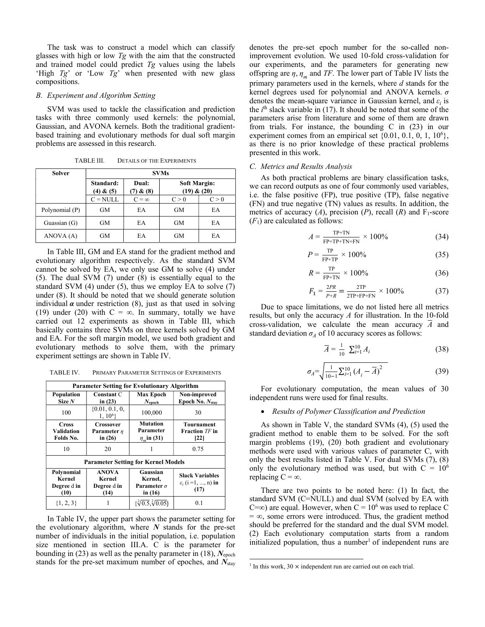The task was to construct a model which can classify glasses with high or low  $Tg$  with the aim that the constructed and trained model could predict  $Tg$  values using the labels 'High  $Tg$ ' or 'Low  $Tg$ ' when presented with new glass compositions.

# B. Experiment and Algorithm Setting

SVM was used to tackle the classification and prediction tasks with three commonly used kernels: the polynomial, Gaussian, and AVONA kernels. Both the traditional gradientbased training and evolutionary methods for dual soft margin problems are assessed in this research.

| Solver         | <b>SVMs</b>                |                        |                                    |       |  |  |  |  |
|----------------|----------------------------|------------------------|------------------------------------|-------|--|--|--|--|
|                | Standard:<br>$(4)$ & $(5)$ | Dual:<br>$(7)$ & $(8)$ | <b>Soft Margin:</b><br>(19) & (20) |       |  |  |  |  |
|                | $C = NULL$                 | $C = \infty$           | C > 0                              | C > 0 |  |  |  |  |
| Polynomial (P) | GM                         | EA                     | <b>GM</b>                          | EA    |  |  |  |  |
| Guassian (G)   | GМ                         | EA                     | <b>GM</b>                          | EA    |  |  |  |  |
| ANOVA (A)      | GM                         | EA                     | GM                                 | EA    |  |  |  |  |

TABLE III. DETAILS OF THE EXPERIMENTS

In Table III, GM and EA stand for the gradient method and evolutionary algorithm respectively. As the standard SVM cannot be solved by EA, we only use GM to solve (4) under (5). The dual SVM (7) under (8) is essentially equal to the standard SVM (4) under (5), thus we employ EA to solve (7) under (8). It should be noted that we should generate solution individual  $\alpha$  under restriction (8), just as that used in solving (19) under (20) with  $C = \infty$ . In summary, totally we have carried out 12 experiments as shown in Table III, which basically contains three SVMs on three kernels solved by GM and EA. For the soft margin model, we used both gradient and evolutionary methods to solve them, with the primary experiment settings are shown in Table IV.

TABLE IV. PRIMARY PARAMETER SETTINGS OF EXPERIMENTS

| <b>Parameter Setting for Evolutionary Algorithm</b> |                                               |                                     |                                                                  |  |  |  |  |  |  |
|-----------------------------------------------------|-----------------------------------------------|-------------------------------------|------------------------------------------------------------------|--|--|--|--|--|--|
| Population<br>Size N                                | <b>Constant C</b><br>in $(23)$                | Max Epoch<br>$N_{\rm epoch}$        | Non-improved<br><b>Epoch No. Nstay</b>                           |  |  |  |  |  |  |
| 100                                                 | $\{0.01, 0.1, 0,$<br>$1, 10^6$                | 100,000                             | 30                                                               |  |  |  |  |  |  |
| <b>Cross</b><br>Validation<br>Folds No.             | Crossover<br>Parameter $\eta$<br>in $(26)$    |                                     | <b>Tournament</b><br><b>Fraction</b> TF in<br>[22]               |  |  |  |  |  |  |
| 10                                                  | 20                                            |                                     | 0.75                                                             |  |  |  |  |  |  |
|                                                     | <b>Parameter Setting for Kernel Models</b>    |                                     |                                                                  |  |  |  |  |  |  |
| Polynomial<br>Kernel<br>Degree d in<br>(10)         | <b>ANOVA</b><br>Kernel<br>Degree d in<br>(14) |                                     | <b>Slack Variables</b><br>$\varepsilon_i$ (i =1, , n) in<br>(17) |  |  |  |  |  |  |
| $\{1, 2, 3\}$                                       |                                               | $\{\sqrt[2]{0.5}, \sqrt[2]{0.05}\}$ | 0.1                                                              |  |  |  |  |  |  |

In Table IV, the upper part shows the parameter setting for the evolutionary algorithm, where  $N$  stands for the pre-set number of individuals in the initial population, i.e. population size mentioned in section III.A. C is the parameter for bounding in (23) as well as the penalty parameter in (18),  $N_{\text{epoch}}$ stands for the pre-set maximum number of epoches, and  $N_{\text{stay}}$  denotes the pre-set epoch number for the so-called nonimprovement evolution. We used 10-fold cross-validation for our experiments, and the parameters for generating new offspring are  $\eta$ ,  $\eta_m$  and TF. The lower part of Table IV lists the primary parameters used in the kernels, where  $d$  stands for the kernel degrees used for polynomial and ANOVA kernels.  $\sigma$ denotes the mean-square variance in Gaussian kernel, and  $\varepsilon_i$  is the  $i<sup>th</sup>$  slack variable in (17). It should be noted that some of the parameters arise from literature and some of them are drawn from trials. For instance, the bounding C in (23) in our experiment comes from an empirical set  $\{0.01, 0.1, 0, 1, 10^6\}$ , as there is no prior knowledge of these practical problems presented in this work.

# C. Metrics and Results Analysis

As both practical problems are binary classification tasks, we can record outputs as one of four commonly used variables, i.e. the false positive (FP), true positive (TP), false negative (FN) and true negative (TN) values as results. In addition, the metrics of accuracy  $(A)$ , precision  $(P)$ , recall  $(R)$  and  $F_1$ -score  $(F_1)$  are calculated as follows:

$$
A = \frac{\text{TP+TN}}{\text{FP+TP+TN+FN}} \times 100\%
$$
 (34)

$$
P = \frac{\text{TP}}{\text{FP+TP}} \times 100\%
$$
 (35)

$$
R = \frac{\text{TP}}{\text{FP+TN}} \times 100\%
$$
 (36)

$$
F_1 = \frac{2PR}{P+R} = \frac{2TP}{2TP+FP+FN} \times 100\% \tag{37}
$$

Due to space limitations, we do not listed here all metrics results, but only the accuracy A for illustration. In the 10-fold cross-validation, we calculate the mean accuracy  $\overline{A}$  and standard deviation  $\sigma_A$  of 10 accuracy scores as follows:

$$
\overline{A} = \frac{1}{10} \sum_{i=1}^{10} A_i
$$
 (38)

$$
\sigma_A = \sqrt{\frac{1}{10 - 1} \sum_{i=1}^{10} (A_i - \overline{A})^2}
$$
 (39)

For evolutionary computation, the mean values of 30 independent runs were used for final results.

#### Results of Polymer Classification and Prediction

As shown in Table V, the standard SVMs (4), (5) used the gradient method to enable them to be solved. For the soft margin problems (19), (20) both gradient and evolutionary methods were used with various values of parameter C, with only the best results listed in Table V. For dual SVMs (7), (8) only the evolutionary method was used, but with  $C = 10^6$ replacing  $C = \infty$ .

There are two points to be noted here: (1) In fact, the standard SVM (C=NULL) and dual SVM (solved by EA with  $C=\infty$ ) are equal. However, when  $C = 10^6$  was used to replace C  $= \infty$ , some errors were introduced. Thus, the gradient method should be preferred for the standard and the dual SVM model. (2) Each evolutionary computation starts from a random initialized population, thus a number<sup>1</sup> of independent runs are

<sup>&</sup>lt;sup>1</sup> In this work,  $30 \times$  independent run are carried out on each trial.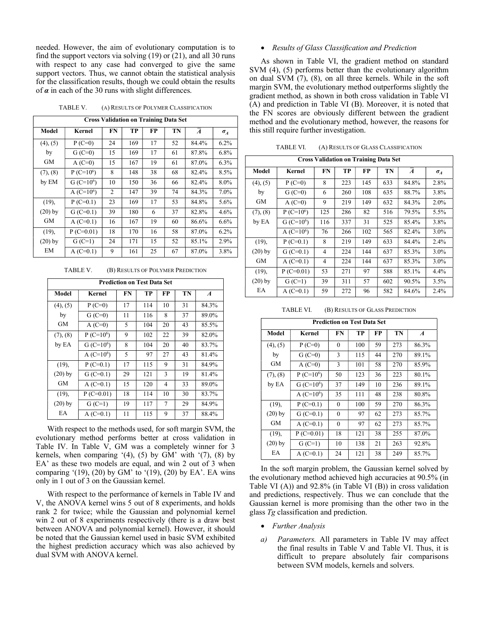needed. However, the aim of evolutionary computation is to find the support vectors via solving (19) or (21), and all 30 runs with respect to any case had converged to give the same support vectors. Thus, we cannot obtain the statistical analysis for the classification results, though we could obtain the results of  $\alpha$  in each of the 30 runs with slight differences.

|               | <b>Cross Validation on Training Data Set</b> |                |     |    |    |                |            |  |  |
|---------------|----------------------------------------------|----------------|-----|----|----|----------------|------------|--|--|
| Model         | Kernel                                       | <b>FN</b>      | TP  | FP | TN | $\overline{A}$ | $\sigma_A$ |  |  |
| $(4)$ , $(5)$ | $P(C=0)$                                     | 24             | 169 | 17 | 52 | 84.4%          | 6.2%       |  |  |
| by            | $G(C=0)$                                     | 15             | 169 | 17 | 61 | 87.8%          | 6.8%       |  |  |
| GM            | $A(C=0)$                                     | 15             | 167 | 19 | 61 | 87.0%          | 6.3%       |  |  |
| (7), (8)      | $P(C=10^6)$                                  | 8              | 148 | 38 | 68 | 82.4%          | 8.5%       |  |  |
| by EM         | G $(C=10^6)$                                 | 10             | 150 | 36 | 66 | 82.4%          | 8.0%       |  |  |
|               | $A (C=10^6)$                                 | $\overline{2}$ | 147 | 39 | 74 | 84.3%          | 7.0%       |  |  |
| $(19)$ ,      | $P(C=0.1)$                                   | 23             | 169 | 17 | 53 | 84.8%          | 5.6%       |  |  |
| $(20)$ by     | $G(C=0.1)$                                   | 39             | 180 | 6  | 37 | 82.8%          | 4.6%       |  |  |
| GM            | $A (C=0.1)$                                  | 16             | 167 | 19 | 60 | 86.6%          | 6.6%       |  |  |
| $(19)$ ,      | $P(C=0.01)$                                  | 18             | 170 | 16 | 58 | 87.0%          | $6.2\%$    |  |  |
| $(20)$ by     | $G(C=1)$                                     | 24             | 171 | 15 | 52 | 85.1%          | 2.9%       |  |  |
| EM            | $A (C=0.1)$                                  | 9              | 161 | 25 | 67 | 87.0%          | 3.8%       |  |  |

TABLE V. (B) RESULTS OF POLYMER PREDICTION

| <b>Prediction on Test Data Set</b> |              |    |     |    |    |                  |  |  |  |
|------------------------------------|--------------|----|-----|----|----|------------------|--|--|--|
| Model                              | Kernel       | FN | TP  | FP | TN | $\boldsymbol{A}$ |  |  |  |
| $(4)$ , $(5)$                      | $P(C=0)$     | 17 | 114 | 10 | 31 | 84.3%            |  |  |  |
| by                                 | $G(C=0)$     | 11 | 116 | 8  | 37 | 89.0%            |  |  |  |
| GM                                 | $A(C=0)$     | 5  | 104 | 20 | 43 | 85.5%            |  |  |  |
| (7), (8)                           | $P(C=10^6)$  | 9  | 102 | 22 | 39 | 82.0%            |  |  |  |
| by EA                              | $G(C=10^6)$  | 8  | 104 | 20 | 40 | 83.7%            |  |  |  |
|                                    | A $(C=10^6)$ | 5  | 97  | 27 | 43 | 81.4%            |  |  |  |
| (19),                              | $P(C=0.1)$   | 17 | 115 | 9  | 31 | 84.9%            |  |  |  |
| $(20)$ by                          | $G(C=0.1)$   | 29 | 121 | 3  | 19 | 81.4%            |  |  |  |
| GM                                 | $A (C=0.1)$  | 15 | 120 | 4  | 33 | 89.0%            |  |  |  |
| (19),                              | $P(C=0.01)$  | 18 | 114 | 10 | 30 | 83.7%            |  |  |  |
| $(20)$ by                          | $G(C=1)$     | 19 | 117 | 7  | 29 | 84.9%            |  |  |  |
| EA                                 | $A (C=0.1)$  | 11 | 115 | 9  | 37 | 88.4%            |  |  |  |

With respect to the methods used, for soft margin SVM, the evolutionary method performs better at cross validation in Table IV. In Table V, GM was a completely winner for 3 kernels, when comparing  $(4)$ ,  $(5)$  by GM' with  $(7)$ ,  $(8)$  by EA' as these two models are equal, and win 2 out of 3 when comparing '(19), (20) by GM' to '(19), (20) by EA'. EA wins only in 1 out of 3 on the Gaussian kernel.

With respect to the performance of kernels in Table IV and V, the ANOVA kernel wins 5 out of 8 experiments, and holds rank 2 for twice; while the Gaussian and polynomial kernel win 2 out of 8 experiments respectively (there is a draw best between ANOVA and polynomial kernel). However, it should be noted that the Gaussian kernel used in basic SVM exhibited the highest prediction accuracy which was also achieved by dual SVM with ANOVA kernel.

## Results of Glass Classification and Prediction

As shown in Table VI, the gradient method on standard SVM (4), (5) performs better than the evolutionary algorithm on dual SVM (7), (8), on all three kernels. While in the soft margin SVM, the evolutionary method outperforms slightly the gradient method, as shown in both cross validation in Table VI (A) and prediction in Table VI (B). Moreover, it is noted that the FN scores are obviously different between the gradient method and the evolutionary method, however, the reasons for this still require further investigation.

| <b>Cross Validation on Training Data Set</b> |              |     |     |     |     |                |            |  |  |
|----------------------------------------------|--------------|-----|-----|-----|-----|----------------|------------|--|--|
| Model                                        | Kernel       | FN  | TP  | FP  | TN  | $\overline{A}$ | $\sigma_A$ |  |  |
| $(4)$ , $(5)$                                | $P(C=0)$     | 8   | 223 | 145 | 633 | 84.8%          | 2.8%       |  |  |
| by                                           | $G(C=0)$     | 6   | 260 | 108 | 635 | 88.7%          | 3.8%       |  |  |
| GM                                           | A $(C=0)$    | 9   | 219 | 149 | 632 | 84.3%          | $2.0\%$    |  |  |
| (7), (8)                                     | $P(C=10^6)$  | 125 | 286 | 82  | 516 | 79.5%          | 5.5%       |  |  |
| by EA                                        | G $(C=10^6)$ | 116 | 337 | 31  | 525 | 85.4%          | 3.8%       |  |  |
|                                              | $A (C=10^6)$ | 76  | 266 | 102 | 565 | 82.4%          | $3.0\%$    |  |  |
| (19),                                        | $P(C=0.1)$   | 8   | 219 | 149 | 633 | 84.4%          | 2.4%       |  |  |
| $(20)$ by                                    | $G(C=0.1)$   | 4   | 224 | 144 | 637 | 85.3%          | $3.0\%$    |  |  |
| GM                                           | $A (C=0.1)$  | 4   | 224 | 144 | 637 | 85.3%          | $3.0\%$    |  |  |
| (19),                                        | $P(C=0.01)$  | 53  | 271 | 97  | 588 | 85.1%          | 4.4%       |  |  |
| $(20)$ by                                    | $G(C=1)$     | 39  | 311 | 57  | 602 | 90.5%          | 3.5%       |  |  |
| EA                                           | $A (C=0.1)$  | 59  | 272 | 96  | 582 | 84.6%          | 2.4%       |  |  |

TABLE VI. (A) RESULTS OF GLASS CLASSIFICATION

| <b>Prediction on Test Data Set</b> |              |                  |     |    |     |                  |  |  |  |  |
|------------------------------------|--------------|------------------|-----|----|-----|------------------|--|--|--|--|
| Model                              | Kernel       | FN               | TP  | FP | TN  | $\boldsymbol{A}$ |  |  |  |  |
| $(4)$ , $(5)$                      | $P(C=0)$     | $\theta$         | 100 | 59 | 273 | 86.3%            |  |  |  |  |
| by                                 | $G(C=0)$     | 3                | 115 | 44 | 270 | 89.1%            |  |  |  |  |
| GM                                 | $A(C=0)$     | 3                | 101 | 58 | 270 | 85.9%            |  |  |  |  |
| (7), (8)                           | $P(C=10^6)$  | 50               | 123 | 36 | 223 | 80.1%            |  |  |  |  |
| by EA                              | G $(C=10^6)$ | 37               | 149 | 10 | 236 | 89.1%            |  |  |  |  |
|                                    | $A (C=10^6)$ | 35               | 111 | 48 | 238 | 80.8%            |  |  |  |  |
| (19),                              | $P(C=0.1)$   | $\boldsymbol{0}$ | 100 | 59 | 270 | 86.3%            |  |  |  |  |
| $(20)$ by                          | $G(C=0.1)$   | 0                | 97  | 62 | 273 | 85.7%            |  |  |  |  |
| GM                                 | $A(C=0.1)$   | $\theta$         | 97  | 62 | 273 | 85.7%            |  |  |  |  |
| (19),                              | $P(C=0.01)$  | 18               | 121 | 38 | 255 | 87.0%            |  |  |  |  |
| $(20)$ by                          | $G(C=1)$     | 10               | 138 | 21 | 263 | 92.8%            |  |  |  |  |
| EA                                 | $A(C=0.1)$   | 24               | 121 | 38 | 249 | 85.7%            |  |  |  |  |

In the soft margin problem, the Gaussian kernel solved by the evolutionary method achieved high accuracies at 90.5% (in Table VI (A)) and 92.8% (in Table VI (B)) in cross validation and predictions, respectively. Thus we can conclude that the Gaussian kernel is more promising than the other two in the glass Tg classification and prediction.

- Further Analysis
- a) Parameters. All parameters in Table IV may affect the final results in Table V and Table VI. Thus, it is difficult to prepare absolutely fair comparisons between SVM models, kernels and solvers.